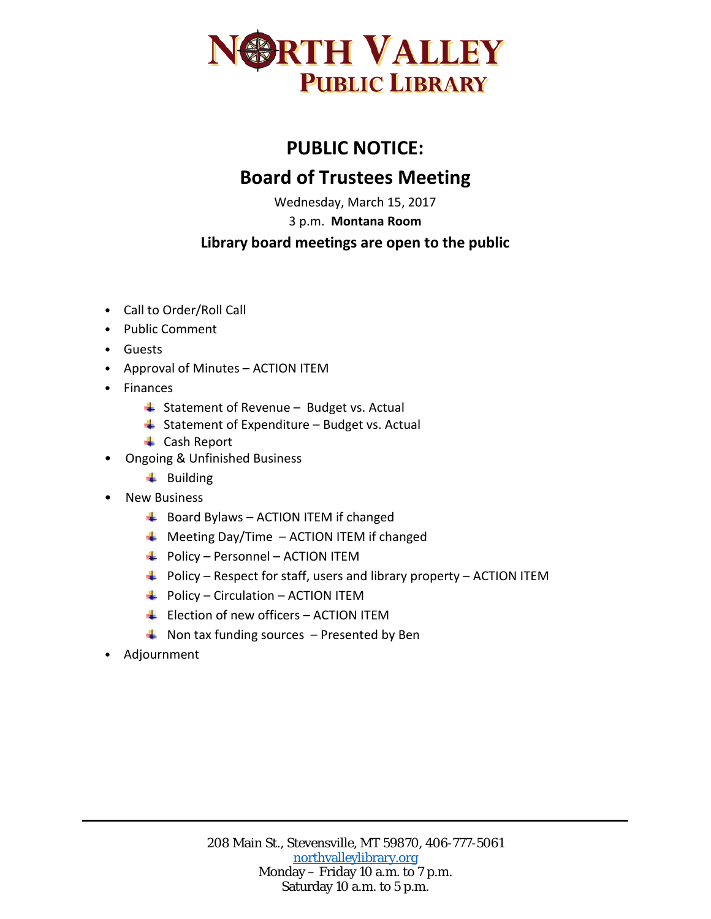

## **PUBLIC NOTICE: Board of Trustees Meeting**

Wednesday, March 15, 2017

3 p.m. **Montana Room**

## **Library board meetings are open to the public**

- Call to Order/Roll Call
- Public Comment
- Guests
- Approval of Minutes ACTION ITEM
- Finances
	- $\frac{1}{2}$  Statement of Revenue Budget vs. Actual
	- $\triangleq$  Statement of Expenditure Budget vs. Actual
	- **↓** Cash Report
- Ongoing & Unfinished Business
	- $\ddot{\bullet}$  Building
- New Business
	- $\bigstar$  Board Bylaws ACTION ITEM if changed
	- $\bigstar$  Meeting Day/Time ACTION ITEM if changed
	- $\overline{\phantom{a}^+}$  Policy Personnel ACTION ITEM
	- $\overline{\phantom{a}+}$  Policy Respect for staff, users and library property ACTION ITEM
	- $\overline{\phantom{a} \bullet}$  Policy Circulation ACTION ITEM
	- $\overline{\phantom{a}+}\;$  Election of new officers ACTION ITEM
	- $\triangleq$  Non tax funding sources Presented by Ben
- Adjournment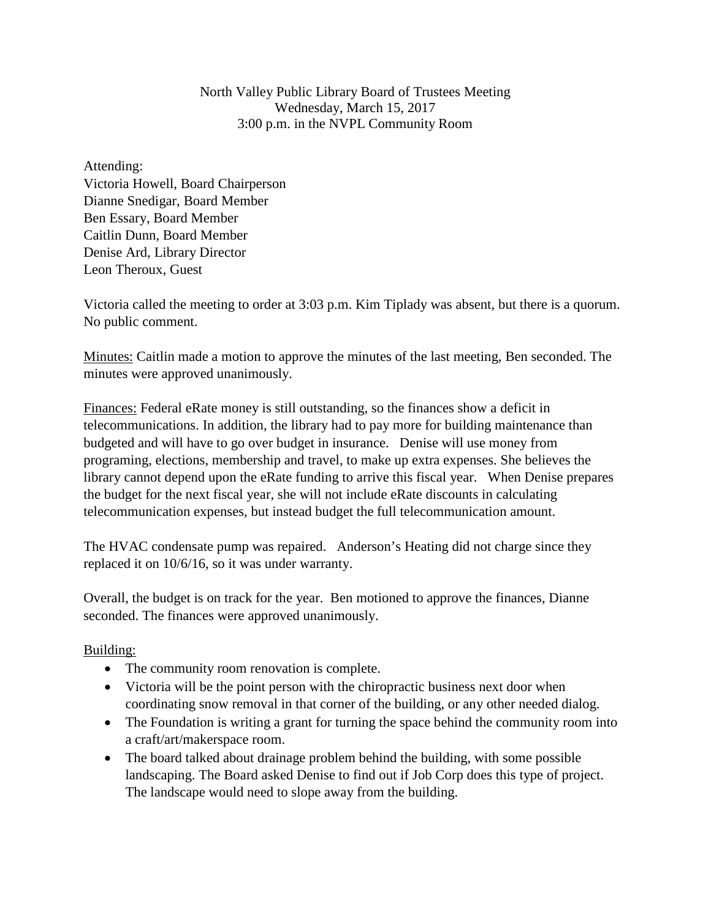North Valley Public Library Board of Trustees Meeting Wednesday, March 15, 2017 3:00 p.m. in the NVPL Community Room

Attending: Victoria Howell, Board Chairperson Dianne Snedigar, Board Member Ben Essary, Board Member Caitlin Dunn, Board Member Denise Ard, Library Director Leon Theroux, Guest

Victoria called the meeting to order at 3:03 p.m. Kim Tiplady was absent, but there is a quorum. No public comment.

Minutes: Caitlin made a motion to approve the minutes of the last meeting, Ben seconded. The minutes were approved unanimously.

Finances: Federal eRate money is still outstanding, so the finances show a deficit in telecommunications. In addition, the library had to pay more for building maintenance than budgeted and will have to go over budget in insurance. Denise will use money from programing, elections, membership and travel, to make up extra expenses. She believes the library cannot depend upon the eRate funding to arrive this fiscal year. When Denise prepares the budget for the next fiscal year, she will not include eRate discounts in calculating telecommunication expenses, but instead budget the full telecommunication amount.

The HVAC condensate pump was repaired. Anderson's Heating did not charge since they replaced it on 10/6/16, so it was under warranty.

Overall, the budget is on track for the year. Ben motioned to approve the finances, Dianne seconded. The finances were approved unanimously.

## Building:

- The community room renovation is complete.
- Victoria will be the point person with the chiropractic business next door when coordinating snow removal in that corner of the building, or any other needed dialog.
- The Foundation is writing a grant for turning the space behind the community room into a craft/art/makerspace room.
- The board talked about drainage problem behind the building, with some possible landscaping. The Board asked Denise to find out if Job Corp does this type of project. The landscape would need to slope away from the building.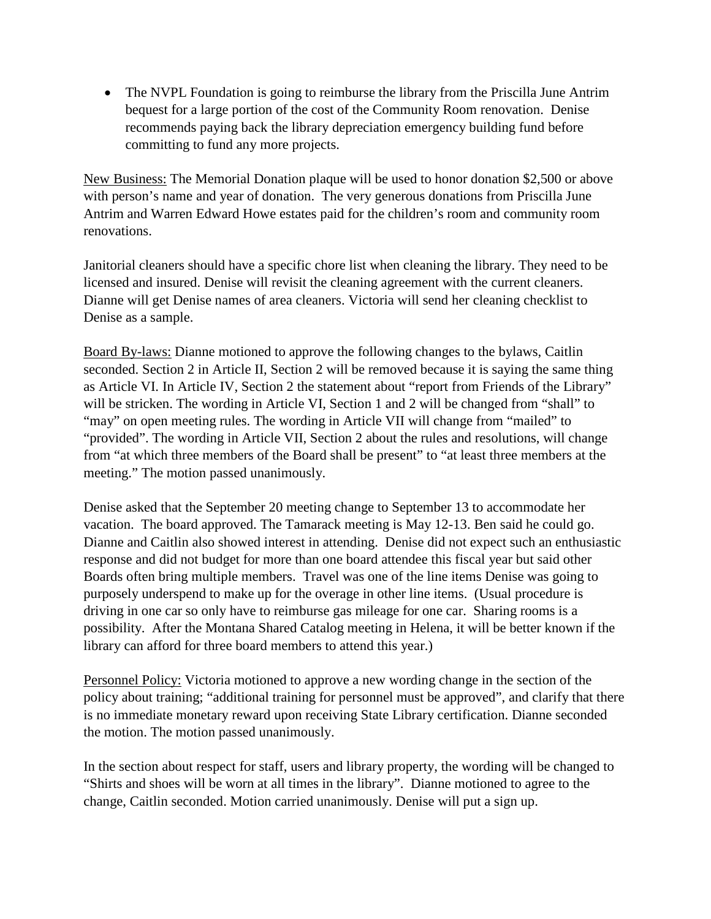• The NVPL Foundation is going to reimburse the library from the Priscilla June Antrim bequest for a large portion of the cost of the Community Room renovation. Denise recommends paying back the library depreciation emergency building fund before committing to fund any more projects.

New Business: The Memorial Donation plaque will be used to honor donation \$2,500 or above with person's name and year of donation. The very generous donations from Priscilla June Antrim and Warren Edward Howe estates paid for the children's room and community room renovations.

Janitorial cleaners should have a specific chore list when cleaning the library. They need to be licensed and insured. Denise will revisit the cleaning agreement with the current cleaners. Dianne will get Denise names of area cleaners. Victoria will send her cleaning checklist to Denise as a sample.

Board By-laws: Dianne motioned to approve the following changes to the bylaws, Caitlin seconded. Section 2 in Article II, Section 2 will be removed because it is saying the same thing as Article VI. In Article IV, Section 2 the statement about "report from Friends of the Library" will be stricken. The wording in Article VI, Section 1 and 2 will be changed from "shall" to "may" on open meeting rules. The wording in Article VII will change from "mailed" to "provided". The wording in Article VII, Section 2 about the rules and resolutions, will change from "at which three members of the Board shall be present" to "at least three members at the meeting." The motion passed unanimously.

Denise asked that the September 20 meeting change to September 13 to accommodate her vacation. The board approved. The Tamarack meeting is May 12-13. Ben said he could go. Dianne and Caitlin also showed interest in attending. Denise did not expect such an enthusiastic response and did not budget for more than one board attendee this fiscal year but said other Boards often bring multiple members. Travel was one of the line items Denise was going to purposely underspend to make up for the overage in other line items. (Usual procedure is driving in one car so only have to reimburse gas mileage for one car. Sharing rooms is a possibility. After the Montana Shared Catalog meeting in Helena, it will be better known if the library can afford for three board members to attend this year.)

Personnel Policy: Victoria motioned to approve a new wording change in the section of the policy about training; "additional training for personnel must be approved", and clarify that there is no immediate monetary reward upon receiving State Library certification. Dianne seconded the motion. The motion passed unanimously.

In the section about respect for staff, users and library property, the wording will be changed to "Shirts and shoes will be worn at all times in the library". Dianne motioned to agree to the change, Caitlin seconded. Motion carried unanimously. Denise will put a sign up.